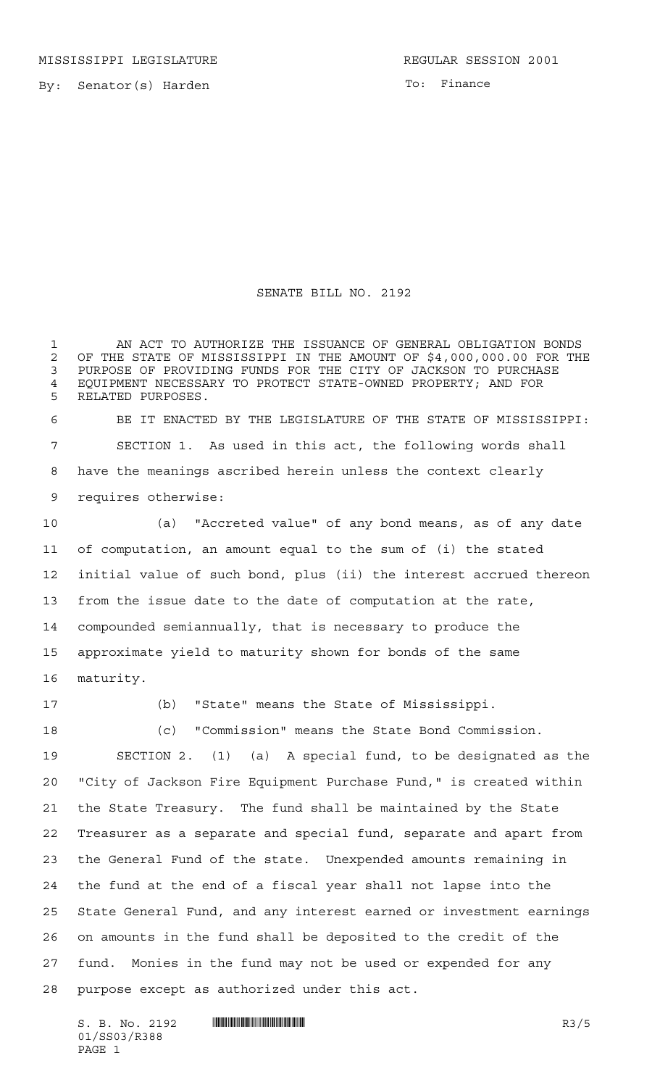MISSISSIPPI LEGISLATURE **REGULAR SESSION 2001** 

By: Senator(s) Harden

To: Finance

## SENATE BILL NO. 2192

 AN ACT TO AUTHORIZE THE ISSUANCE OF GENERAL OBLIGATION BONDS 2 OF THE STATE OF MISSISSIPPI IN THE AMOUNT OF \$4,000,000.00 FOR THE 3 PURCHASE PURPOSE OF PROVIDING FUNDS FOR THE CITY OF JACKSON TO PURCHASE EQUIPMENT NECESSARY TO PROTECT STATE-OWNED PROPERTY; AND FOR RELATED PURPOSES.

 BE IT ENACTED BY THE LEGISLATURE OF THE STATE OF MISSISSIPPI: SECTION 1. As used in this act, the following words shall have the meanings ascribed herein unless the context clearly requires otherwise:

 (a) "Accreted value" of any bond means, as of any date of computation, an amount equal to the sum of (i) the stated initial value of such bond, plus (ii) the interest accrued thereon from the issue date to the date of computation at the rate, compounded semiannually, that is necessary to produce the approximate yield to maturity shown for bonds of the same maturity.

(b) "State" means the State of Mississippi.

 (c) "Commission" means the State Bond Commission. SECTION 2. (1) (a) A special fund, to be designated as the "City of Jackson Fire Equipment Purchase Fund," is created within the State Treasury. The fund shall be maintained by the State Treasurer as a separate and special fund, separate and apart from the General Fund of the state. Unexpended amounts remaining in the fund at the end of a fiscal year shall not lapse into the State General Fund, and any interest earned or investment earnings on amounts in the fund shall be deposited to the credit of the fund. Monies in the fund may not be used or expended for any purpose except as authorized under this act.

 $S. B. No. 2192$   $\blacksquare$   $\blacksquare$   $\blacksquare$   $\blacksquare$   $\blacksquare$   $\blacksquare$   $\blacksquare$   $\blacksquare$   $\blacksquare$   $\blacksquare$   $\blacksquare$   $\blacksquare$   $\blacksquare$   $\blacksquare$   $\blacksquare$   $\blacksquare$   $\blacksquare$   $\blacksquare$   $\blacksquare$   $\blacksquare$   $\blacksquare$   $\blacksquare$   $\blacksquare$   $\blacksquare$   $\blacksquare$   $\blacksquare$   $\blacksquare$   $\blacksquare$   $\blacksquare$   $\blacks$ 01/SS03/R388 PAGE 1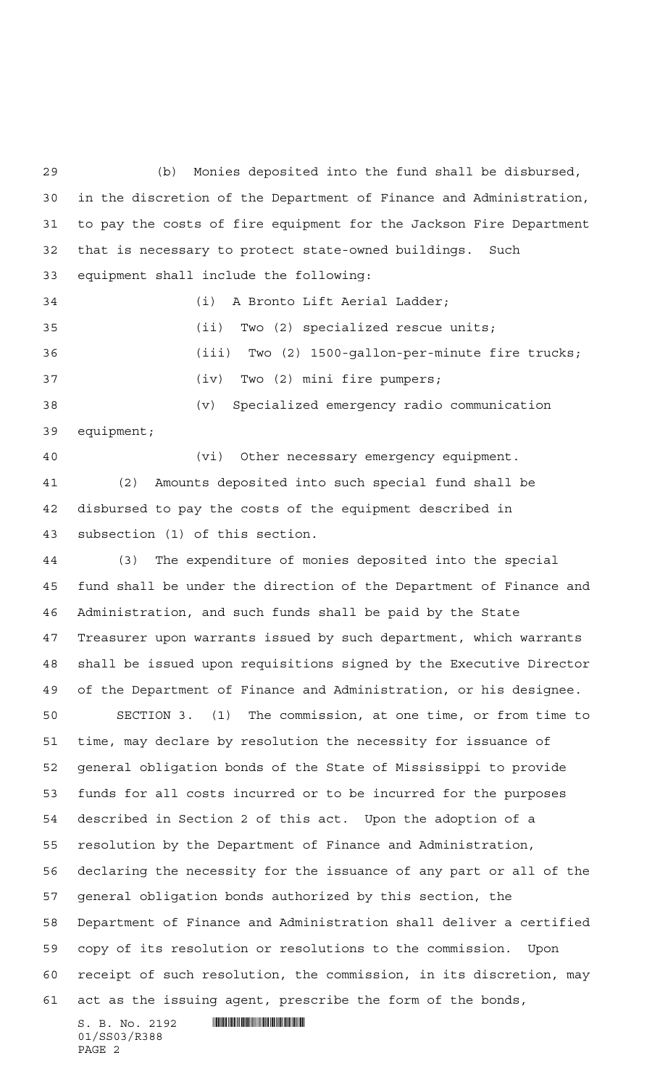$S. B. No. 2192$  . Suppose the set of  $S. B. N_O. 2192$  (b) Monies deposited into the fund shall be disbursed, in the discretion of the Department of Finance and Administration, to pay the costs of fire equipment for the Jackson Fire Department that is necessary to protect state-owned buildings. Such equipment shall include the following: (i) A Bronto Lift Aerial Ladder; (ii) Two (2) specialized rescue units; (iii) Two (2) 1500-gallon-per-minute fire trucks; (iv) Two (2) mini fire pumpers; (v) Specialized emergency radio communication equipment; (vi) Other necessary emergency equipment. (2) Amounts deposited into such special fund shall be disbursed to pay the costs of the equipment described in subsection (1) of this section. (3) The expenditure of monies deposited into the special fund shall be under the direction of the Department of Finance and Administration, and such funds shall be paid by the State Treasurer upon warrants issued by such department, which warrants shall be issued upon requisitions signed by the Executive Director of the Department of Finance and Administration, or his designee. SECTION 3. (1) The commission, at one time, or from time to time, may declare by resolution the necessity for issuance of general obligation bonds of the State of Mississippi to provide funds for all costs incurred or to be incurred for the purposes described in Section 2 of this act. Upon the adoption of a resolution by the Department of Finance and Administration, declaring the necessity for the issuance of any part or all of the general obligation bonds authorized by this section, the Department of Finance and Administration shall deliver a certified copy of its resolution or resolutions to the commission. Upon receipt of such resolution, the commission, in its discretion, may act as the issuing agent, prescribe the form of the bonds,

01/SS03/R388 PAGE 2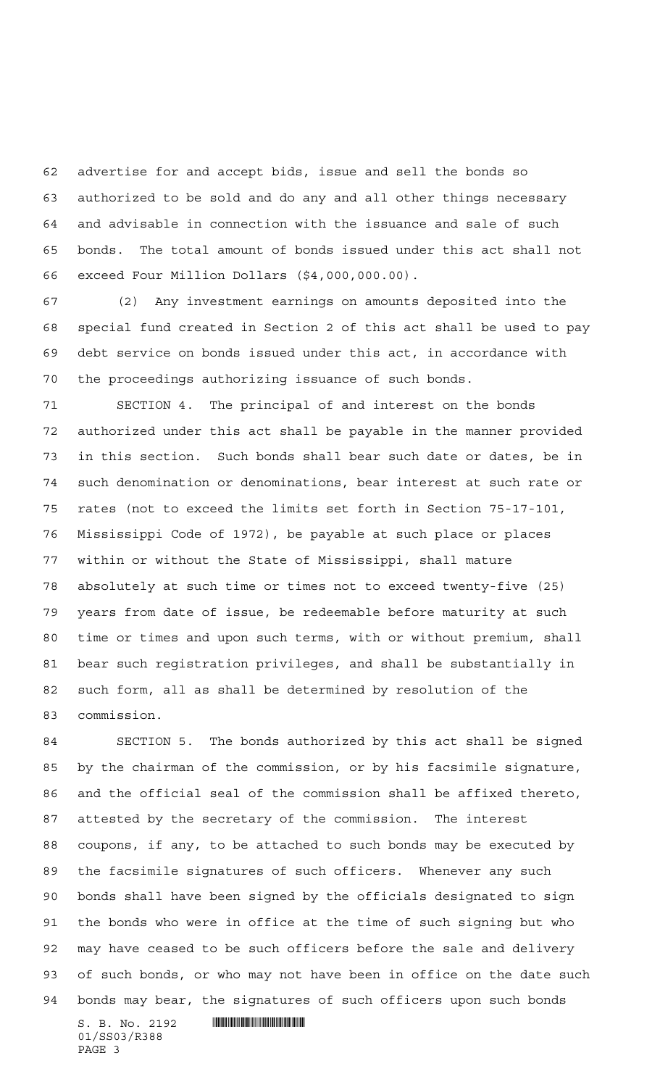advertise for and accept bids, issue and sell the bonds so authorized to be sold and do any and all other things necessary and advisable in connection with the issuance and sale of such bonds. The total amount of bonds issued under this act shall not exceed Four Million Dollars (\$4,000,000.00).

 (2) Any investment earnings on amounts deposited into the special fund created in Section 2 of this act shall be used to pay debt service on bonds issued under this act, in accordance with the proceedings authorizing issuance of such bonds.

 SECTION 4. The principal of and interest on the bonds authorized under this act shall be payable in the manner provided in this section. Such bonds shall bear such date or dates, be in such denomination or denominations, bear interest at such rate or rates (not to exceed the limits set forth in Section 75-17-101, Mississippi Code of 1972), be payable at such place or places within or without the State of Mississippi, shall mature absolutely at such time or times not to exceed twenty-five (25) years from date of issue, be redeemable before maturity at such time or times and upon such terms, with or without premium, shall bear such registration privileges, and shall be substantially in such form, all as shall be determined by resolution of the commission.

 SECTION 5. The bonds authorized by this act shall be signed by the chairman of the commission, or by his facsimile signature, and the official seal of the commission shall be affixed thereto, attested by the secretary of the commission. The interest coupons, if any, to be attached to such bonds may be executed by the facsimile signatures of such officers. Whenever any such bonds shall have been signed by the officials designated to sign the bonds who were in office at the time of such signing but who may have ceased to be such officers before the sale and delivery of such bonds, or who may not have been in office on the date such bonds may bear, the signatures of such officers upon such bonds

 $S. B. No. 2192$  . Suppose the set of  $S. B. N_O. 2192$ 01/SS03/R388 PAGE 3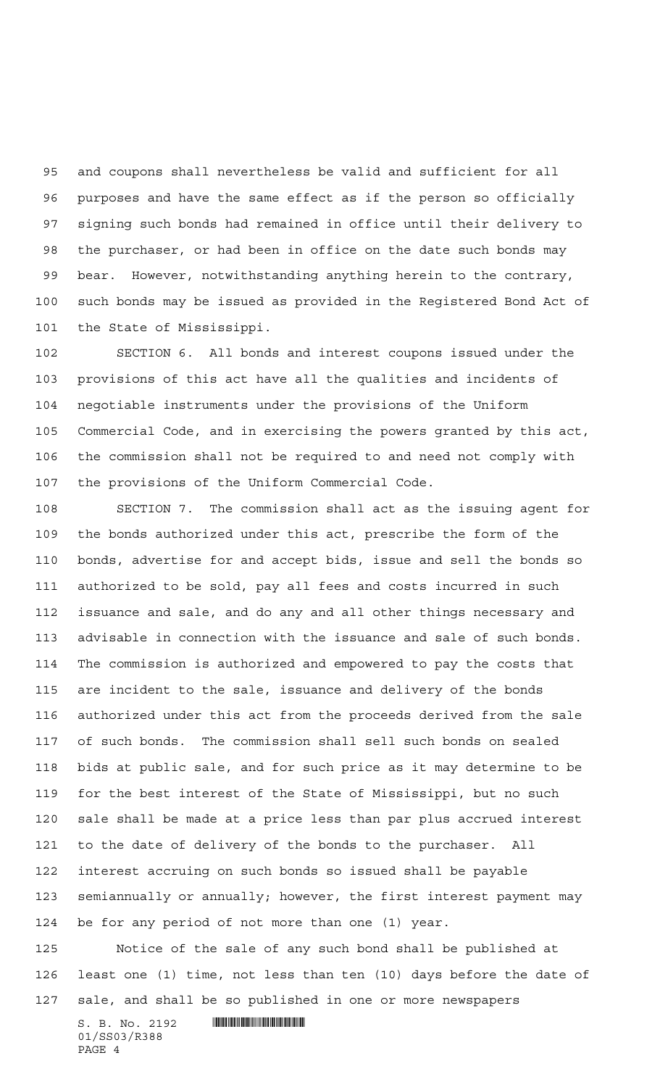and coupons shall nevertheless be valid and sufficient for all purposes and have the same effect as if the person so officially signing such bonds had remained in office until their delivery to the purchaser, or had been in office on the date such bonds may bear. However, notwithstanding anything herein to the contrary, such bonds may be issued as provided in the Registered Bond Act of the State of Mississippi.

 SECTION 6. All bonds and interest coupons issued under the provisions of this act have all the qualities and incidents of negotiable instruments under the provisions of the Uniform Commercial Code, and in exercising the powers granted by this act, the commission shall not be required to and need not comply with the provisions of the Uniform Commercial Code.

 SECTION 7. The commission shall act as the issuing agent for the bonds authorized under this act, prescribe the form of the bonds, advertise for and accept bids, issue and sell the bonds so authorized to be sold, pay all fees and costs incurred in such issuance and sale, and do any and all other things necessary and advisable in connection with the issuance and sale of such bonds. The commission is authorized and empowered to pay the costs that are incident to the sale, issuance and delivery of the bonds authorized under this act from the proceeds derived from the sale of such bonds. The commission shall sell such bonds on sealed bids at public sale, and for such price as it may determine to be for the best interest of the State of Mississippi, but no such sale shall be made at a price less than par plus accrued interest to the date of delivery of the bonds to the purchaser. All interest accruing on such bonds so issued shall be payable semiannually or annually; however, the first interest payment may be for any period of not more than one (1) year.

 Notice of the sale of any such bond shall be published at least one (1) time, not less than ten (10) days before the date of sale, and shall be so published in one or more newspapers

 $S. B. No. 2192$  . Soc.  $2192$ 01/SS03/R388 PAGE 4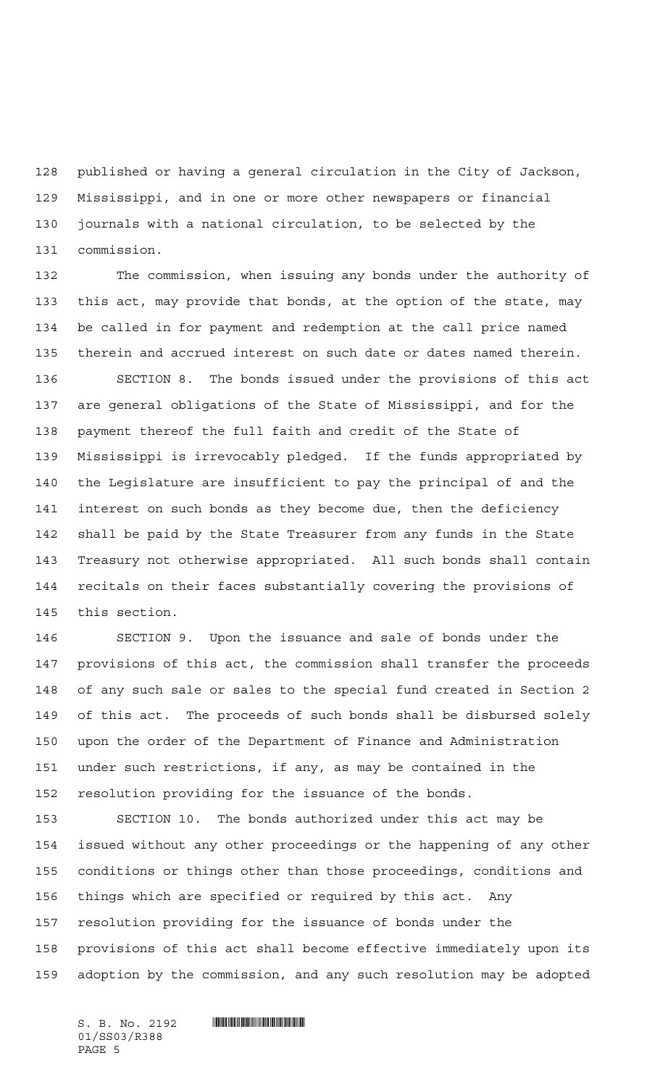published or having a general circulation in the City of Jackson, Mississippi, and in one or more other newspapers or financial journals with a national circulation, to be selected by the commission.

 The commission, when issuing any bonds under the authority of this act, may provide that bonds, at the option of the state, may be called in for payment and redemption at the call price named therein and accrued interest on such date or dates named therein.

 SECTION 8. The bonds issued under the provisions of this act are general obligations of the State of Mississippi, and for the payment thereof the full faith and credit of the State of Mississippi is irrevocably pledged. If the funds appropriated by the Legislature are insufficient to pay the principal of and the interest on such bonds as they become due, then the deficiency shall be paid by the State Treasurer from any funds in the State Treasury not otherwise appropriated. All such bonds shall contain recitals on their faces substantially covering the provisions of this section.

 SECTION 9. Upon the issuance and sale of bonds under the provisions of this act, the commission shall transfer the proceeds of any such sale or sales to the special fund created in Section 2 of this act. The proceeds of such bonds shall be disbursed solely upon the order of the Department of Finance and Administration under such restrictions, if any, as may be contained in the resolution providing for the issuance of the bonds.

 SECTION 10. The bonds authorized under this act may be issued without any other proceedings or the happening of any other conditions or things other than those proceedings, conditions and things which are specified or required by this act. Any resolution providing for the issuance of bonds under the provisions of this act shall become effective immediately upon its adoption by the commission, and any such resolution may be adopted

01/SS03/R388 PAGE 5

 $S. B. No. 2192$  . Suppose the set of  $S. B. N_O. 2192$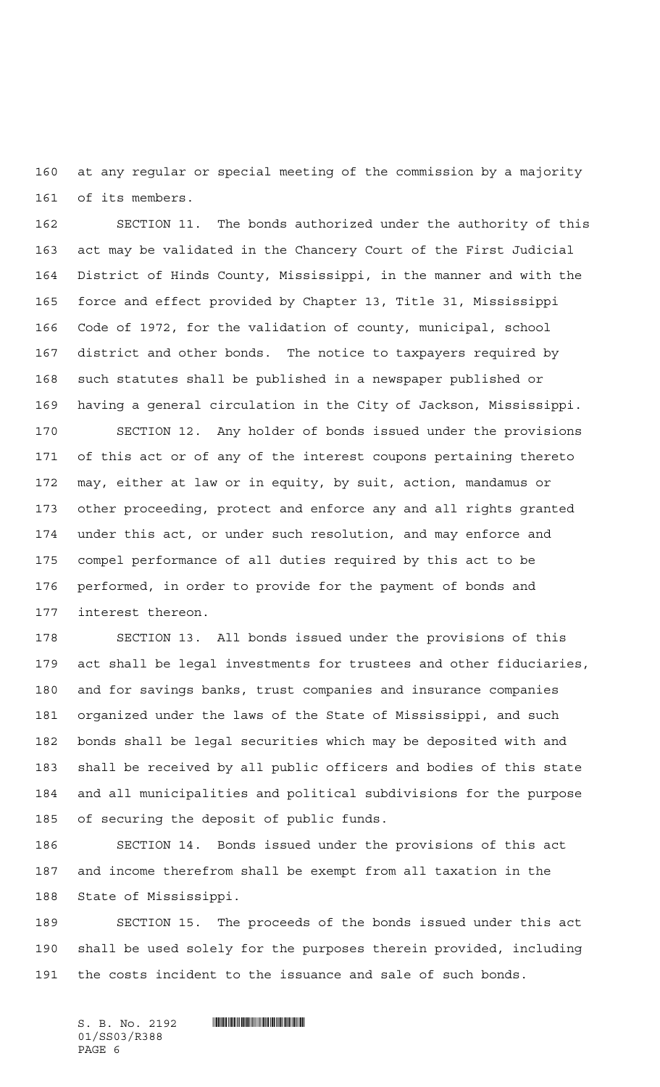at any regular or special meeting of the commission by a majority of its members.

 SECTION 11. The bonds authorized under the authority of this act may be validated in the Chancery Court of the First Judicial District of Hinds County, Mississippi, in the manner and with the force and effect provided by Chapter 13, Title 31, Mississippi Code of 1972, for the validation of county, municipal, school district and other bonds. The notice to taxpayers required by such statutes shall be published in a newspaper published or having a general circulation in the City of Jackson, Mississippi.

 SECTION 12. Any holder of bonds issued under the provisions of this act or of any of the interest coupons pertaining thereto may, either at law or in equity, by suit, action, mandamus or other proceeding, protect and enforce any and all rights granted under this act, or under such resolution, and may enforce and compel performance of all duties required by this act to be performed, in order to provide for the payment of bonds and interest thereon.

 SECTION 13. All bonds issued under the provisions of this act shall be legal investments for trustees and other fiduciaries, and for savings banks, trust companies and insurance companies organized under the laws of the State of Mississippi, and such bonds shall be legal securities which may be deposited with and shall be received by all public officers and bodies of this state and all municipalities and political subdivisions for the purpose of securing the deposit of public funds.

 SECTION 14. Bonds issued under the provisions of this act and income therefrom shall be exempt from all taxation in the State of Mississippi.

 SECTION 15. The proceeds of the bonds issued under this act shall be used solely for the purposes therein provided, including the costs incident to the issuance and sale of such bonds.

 $S. B. No. 2192$  . So  $R3.$ 01/SS03/R388 PAGE 6